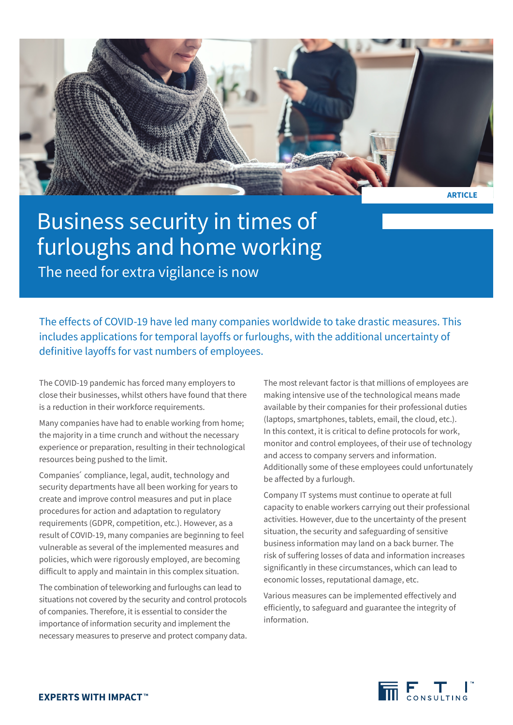

## Business security in times of furloughs and home working The need for extra vigilance is now

The effects of COVID-19 have led many companies worldwide to take drastic measures. This includes applications for temporal layoffs or furloughs, with the additional uncertainty of definitive layoffs for vast numbers of employees.

The COVID-19 pandemic has forced many employers to close their businesses, whilst others have found that there is a reduction in their workforce requirements.

Many companies have had to enable working from home; the majority in a time crunch and without the necessary experience or preparation, resulting in their technological resources being pushed to the limit.

Companies´ compliance, legal, audit, technology and security departments have all been working for years to create and improve control measures and put in place procedures for action and adaptation to regulatory requirements (GDPR, competition, etc.). However, as a result of COVID-19, many companies are beginning to feel vulnerable as several of the implemented measures and policies, which were rigorously employed, are becoming difficult to apply and maintain in this complex situation.

The combination of teleworking and furloughs can lead to situations not covered by the security and control protocols of companies. Therefore, it is essential to consider the importance of information security and implement the necessary measures to preserve and protect company data. The most relevant factor is that millions of employees are making intensive use of the technological means made available by their companies for their professional duties (laptops, smartphones, tablets, email, the cloud, etc.). In this context, it is critical to define protocols for work, monitor and control employees, of their use of technology and access to company servers and information. Additionally some of these employees could unfortunately be affected by a furlough.

Company IT systems must continue to operate at full capacity to enable workers carrying out their professional activities. However, due to the uncertainty of the present situation, the security and safeguarding of sensitive business information may land on a back burner. The risk of suffering losses of data and information increases significantly in these circumstances, which can lead to economic losses, reputational damage, etc.

Various measures can be implemented effectively and efficiently, to safeguard and guarantee the integrity of information.